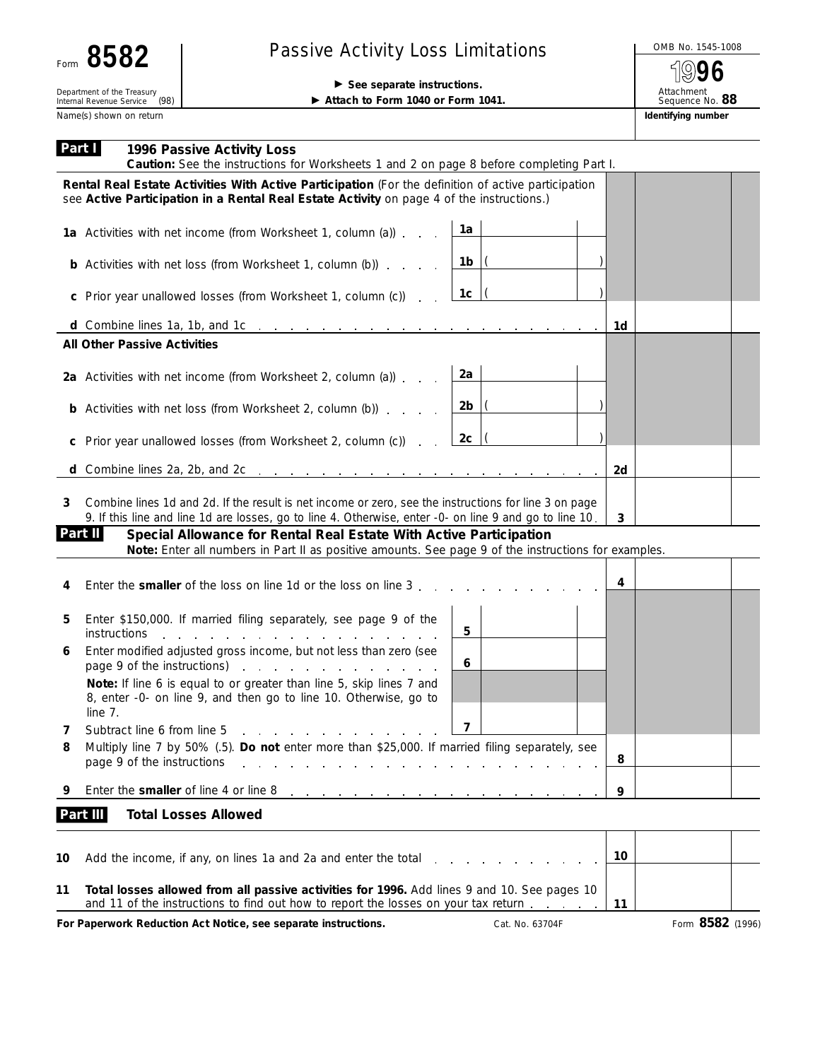| COO<br>OI<br>۵G۲.<br>Form |
|---------------------------|
|---------------------------|

## Passive Activity Loss Limitations<br>
1996

(ဂ) **96**

## ▶ See separate instructions. ▶ Attach to Form 1040 or Form 1041.

Attachment Sequence No. **88**

Name(s) shown on return **Identifying number Identifying number Identifying number** Department of the Treasury<br>Internal Revenue Service (98)

| Part I | 1996 Passive Activity Loss<br>Caution: See the instructions for Worksheets 1 and 2 on page 8 before completing Part I.                                                                                                                                                                                                                                                                                    |    |                  |
|--------|-----------------------------------------------------------------------------------------------------------------------------------------------------------------------------------------------------------------------------------------------------------------------------------------------------------------------------------------------------------------------------------------------------------|----|------------------|
|        | Rental Real Estate Activities With Active Participation (For the definition of active participation<br>see Active Participation in a Rental Real Estate Activity on page 4 of the instructions.)                                                                                                                                                                                                          |    |                  |
|        | 1a<br>1a Activities with net income (from Worksheet 1, column (a))                                                                                                                                                                                                                                                                                                                                        |    |                  |
|        | $1b$ $\vert$<br><b>b</b> Activities with net loss (from Worksheet 1, column (b))                                                                                                                                                                                                                                                                                                                          |    |                  |
|        | 1c<br>c Prior year unallowed losses (from Worksheet 1, column (c)).                                                                                                                                                                                                                                                                                                                                       |    |                  |
|        |                                                                                                                                                                                                                                                                                                                                                                                                           | 1d |                  |
|        | <b>All Other Passive Activities</b>                                                                                                                                                                                                                                                                                                                                                                       |    |                  |
|        | 2a<br>2a Activities with net income (from Worksheet 2, column (a))                                                                                                                                                                                                                                                                                                                                        |    |                  |
|        | $2b$  (<br><b>b</b> Activities with net loss (from Worksheet 2, column (b))                                                                                                                                                                                                                                                                                                                               |    |                  |
| C      | 2c<br>Prior year unallowed losses (from Worksheet 2, column (c))                                                                                                                                                                                                                                                                                                                                          |    |                  |
|        |                                                                                                                                                                                                                                                                                                                                                                                                           | 2d |                  |
| 3      | Combine lines 1d and 2d. If the result is net income or zero, see the instructions for line 3 on page<br>9. If this line and line 1d are losses, go to line 4. Otherwise, enter -0- on line 9 and go to line 10.<br>Part II<br>Special Allowance for Rental Real Estate With Active Participation<br>Note: Enter all numbers in Part II as positive amounts. See page 9 of the instructions for examples. | 3  |                  |
| 4      | Enter the <b>smaller</b> of the loss on line 1d or the loss on line 3.                                                                                                                                                                                                                                                                                                                                    | 4  |                  |
| 5      | Enter \$150,000. If married filing separately, see page 9 of the<br>5<br><i>instructions</i><br>the contract of the contract of the contract of the contract of the contract of the contract of the contract of                                                                                                                                                                                           |    |                  |
| 6      | Enter modified adjusted gross income, but not less than zero (see<br>6<br>page 9 of the instructions) and the state of the instructions of the state of the state of the state of the state of the state of the state of the state of the state of the state of the state of the state of the state of t                                                                                                  |    |                  |
|        | Note: If line 6 is equal to or greater than line 5, skip lines 7 and<br>8, enter -0- on line 9, and then go to line 10. Otherwise, go to<br>line 7.                                                                                                                                                                                                                                                       |    |                  |
| 7      | $\overline{\mathbf{z}}$<br>Subtract line 6 from line 5                                                                                                                                                                                                                                                                                                                                                    |    |                  |
| 8      | Multiply line 7 by 50% (.5). Do not enter more than \$25,000. If married filing separately, see<br>page 9 of the instructions<br>the company of the company of the                                                                                                                                                                                                                                        | 8  |                  |
| 9      | Enter the smaller of line 4 or line 8<br>and a series of the contract of the contract of the contract of                                                                                                                                                                                                                                                                                                  | 9  |                  |
|        | Part III<br><b>Total Losses Allowed</b>                                                                                                                                                                                                                                                                                                                                                                   |    |                  |
| 10     | Add the income, if any, on lines 1a and 2a and enter the total                                                                                                                                                                                                                                                                                                                                            | 10 |                  |
| 11     | Total losses allowed from all passive activities for 1996. Add lines 9 and 10. See pages 10<br>and 11 of the instructions to find out how to report the losses on your tax return                                                                                                                                                                                                                         | 11 |                  |
|        | For Paperwork Reduction Act Notice, see separate instructions.<br>Cat. No. 63704F                                                                                                                                                                                                                                                                                                                         |    | Form 8582 (1996) |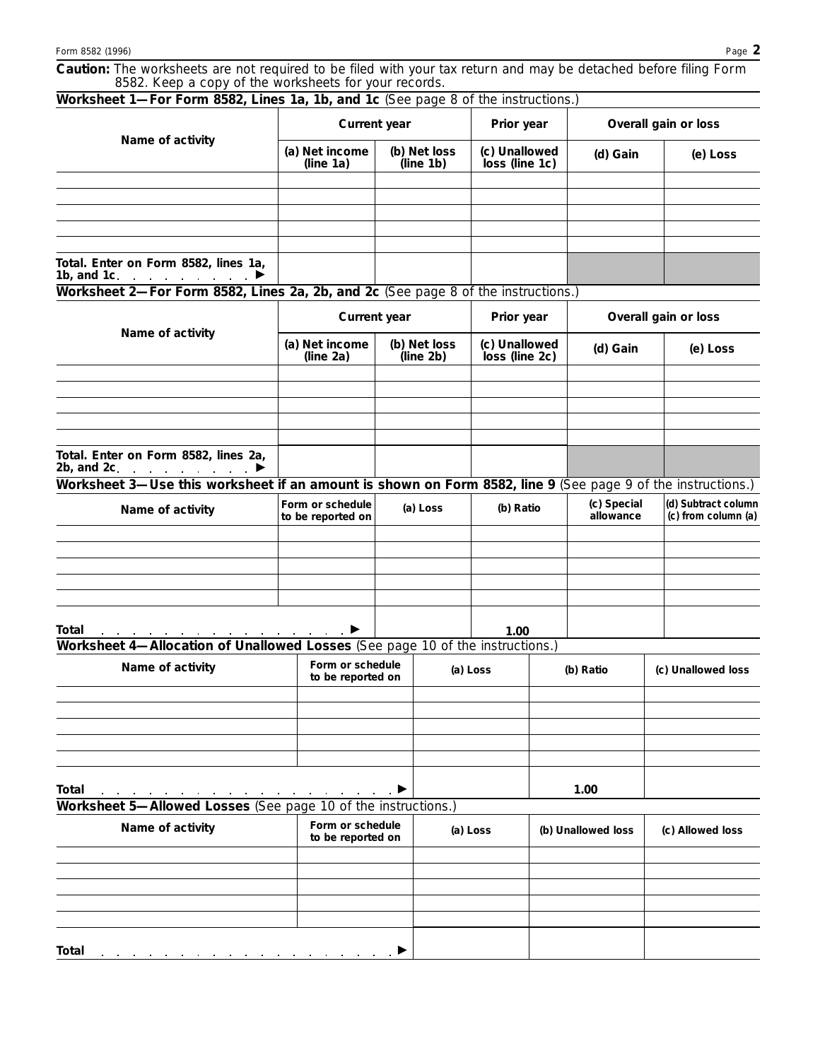**Caution:** *The worksheets are not required to be filed with your tax return and may be detached before filing Form 8582. Keep a copy of the worksheets for your records.*

| Worksheet 1-For Form 8582, Lines 1a, 1b, and 1c (See page 8 of the instructions.)                           |                                                          |                           |                                 |                                 |                    |                          |                                            |  |
|-------------------------------------------------------------------------------------------------------------|----------------------------------------------------------|---------------------------|---------------------------------|---------------------------------|--------------------|--------------------------|--------------------------------------------|--|
| Name of activity                                                                                            | <b>Current year</b>                                      |                           |                                 | Prior year                      |                    | Overall gain or loss     |                                            |  |
|                                                                                                             | (a) Net income<br>(b) Net loss<br>(line 1a)<br>(line 1b) |                           | (c) Unallowed<br>loss (line 1c) |                                 | (d) Gain           | (e) Loss                 |                                            |  |
|                                                                                                             |                                                          |                           |                                 |                                 |                    |                          |                                            |  |
|                                                                                                             |                                                          |                           |                                 |                                 |                    |                          |                                            |  |
|                                                                                                             |                                                          |                           |                                 |                                 |                    |                          |                                            |  |
|                                                                                                             |                                                          |                           |                                 |                                 |                    |                          |                                            |  |
| Total. Enter on Form 8582, lines 1a,<br>1b, and 1c. $\ldots$ $\ldots$ $\ldots$ $\blacktriangleright$        |                                                          |                           |                                 |                                 |                    |                          |                                            |  |
| Worksheet 2-For Form 8582, Lines 2a, 2b, and 2c (See page 8 of the instructions.)                           |                                                          |                           |                                 |                                 |                    |                          |                                            |  |
|                                                                                                             |                                                          |                           |                                 |                                 |                    |                          |                                            |  |
| Name of activity                                                                                            | <b>Current year</b>                                      |                           |                                 | Prior year                      |                    | Overall gain or loss     |                                            |  |
|                                                                                                             | (a) Net income<br>(line 2a)                              | (b) Net loss<br>(line 2b) |                                 | (c) Unallowed<br>loss (line 2c) |                    | (d) Gain                 | (e) Loss                                   |  |
|                                                                                                             |                                                          |                           |                                 |                                 |                    |                          |                                            |  |
|                                                                                                             |                                                          |                           |                                 |                                 |                    |                          |                                            |  |
|                                                                                                             |                                                          |                           |                                 |                                 |                    |                          |                                            |  |
|                                                                                                             |                                                          |                           |                                 |                                 |                    |                          |                                            |  |
| Total. Enter on Form 8582, lines 2a,<br>2b, and 2c.                                                         |                                                          |                           |                                 |                                 |                    |                          |                                            |  |
| Worksheet 3—Use this worksheet if an amount is shown on Form 8582, line 9 (See page 9 of the instructions.) |                                                          |                           |                                 |                                 |                    |                          |                                            |  |
| Name of activity                                                                                            | Form or schedule<br>to be reported on                    |                           | (a) Loss                        | (b) Ratio                       |                    | (c) Special<br>allowance | (d) Subtract column<br>(c) from column (a) |  |
|                                                                                                             |                                                          |                           |                                 |                                 |                    |                          |                                            |  |
|                                                                                                             |                                                          |                           |                                 |                                 |                    |                          |                                            |  |
|                                                                                                             |                                                          |                           |                                 |                                 |                    |                          |                                            |  |
|                                                                                                             |                                                          |                           |                                 |                                 |                    |                          |                                            |  |
|                                                                                                             |                                                          |                           |                                 |                                 |                    |                          |                                            |  |
| Total                                                                                                       |                                                          |                           |                                 | 1.00                            |                    |                          |                                            |  |
| Worksheet 4-Allocation of Unallowed Losses (See page 10 of the instructions.)                               |                                                          |                           |                                 |                                 |                    |                          |                                            |  |
| Name of activity                                                                                            | Form or schedule<br>to be reported on                    |                           |                                 | (a) Loss                        |                    | (b) Ratio                | (c) Unallowed loss                         |  |
|                                                                                                             |                                                          |                           |                                 |                                 |                    |                          |                                            |  |
|                                                                                                             |                                                          |                           |                                 |                                 |                    |                          |                                            |  |
|                                                                                                             |                                                          |                           |                                 |                                 |                    |                          |                                            |  |
|                                                                                                             |                                                          |                           |                                 |                                 |                    |                          |                                            |  |
|                                                                                                             |                                                          |                           |                                 |                                 |                    |                          |                                            |  |
| <b>Total</b>                                                                                                |                                                          |                           |                                 |                                 |                    | 1.00                     |                                            |  |
| Worksheet 5-Allowed Losses (See page 10 of the instructions.)                                               |                                                          |                           |                                 |                                 |                    |                          |                                            |  |
|                                                                                                             | Form or schedule                                         |                           |                                 |                                 |                    |                          |                                            |  |
| Name of activity                                                                                            | to be reported on                                        |                           | (a) Loss                        |                                 | (b) Unallowed loss | (c) Allowed loss         |                                            |  |
|                                                                                                             |                                                          |                           |                                 |                                 |                    |                          |                                            |  |
|                                                                                                             |                                                          |                           |                                 |                                 |                    |                          |                                            |  |
|                                                                                                             |                                                          |                           |                                 |                                 |                    |                          |                                            |  |
|                                                                                                             |                                                          |                           |                                 |                                 |                    |                          |                                            |  |
|                                                                                                             |                                                          |                           |                                 |                                 |                    |                          |                                            |  |
| <b>Total</b>                                                                                                |                                                          |                           |                                 |                                 |                    |                          |                                            |  |
|                                                                                                             |                                                          |                           |                                 |                                 |                    |                          |                                            |  |